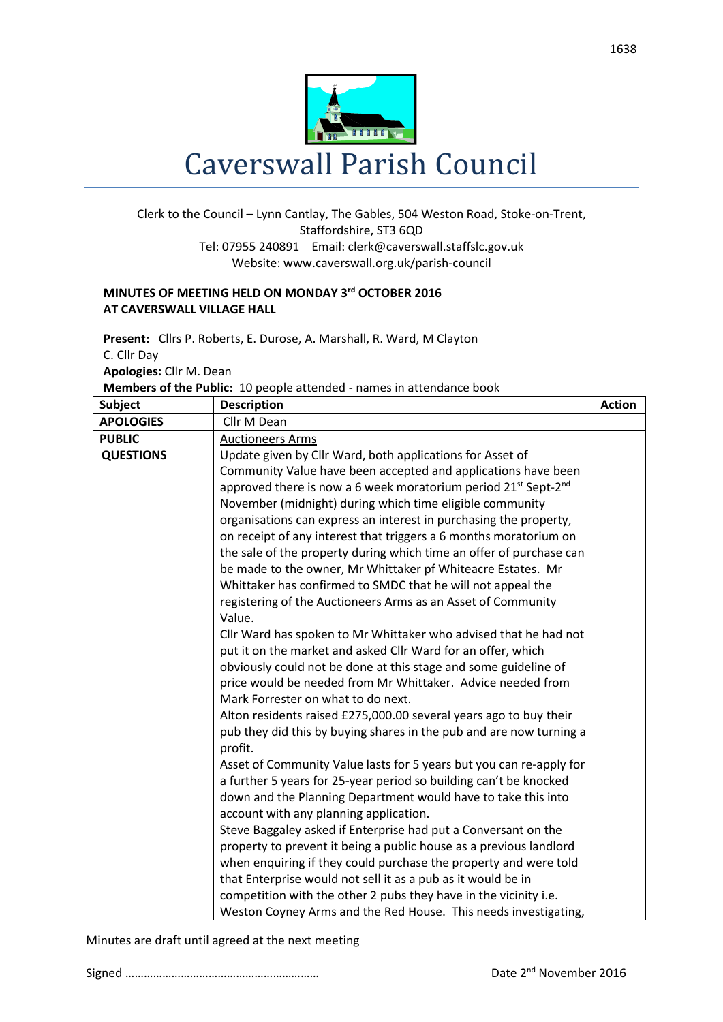

## Clerk to the Council – Lynn Cantlay, The Gables, 504 Weston Road, Stoke-on-Trent, Staffordshire, ST3 6QD Tel: 07955 240891 Email[: clerk@caverswall.staffslc.gov.uk](mailto:clerk@caverswall.staffslc.gov.uk) Website: www.caverswall.org.uk/parish-council

## **MINUTES OF MEETING HELD ON MONDAY 3 rd OCTOBER 2016 AT CAVERSWALL VILLAGE HALL**

**Present:** Cllrs P. Roberts, E. Durose, A. Marshall, R. Ward, M Clayton C. Cllr Day **Apologies:** Cllr M. Dean

**Members of the Public:** 10 people attended - names in attendance book

| <b>Subject</b>   | <b>Description</b>                                                                     | <b>Action</b> |
|------------------|----------------------------------------------------------------------------------------|---------------|
| <b>APOLOGIES</b> | Cllr M Dean                                                                            |               |
| <b>PUBLIC</b>    | <b>Auctioneers Arms</b>                                                                |               |
| <b>QUESTIONS</b> | Update given by Cllr Ward, both applications for Asset of                              |               |
|                  | Community Value have been accepted and applications have been                          |               |
|                  | approved there is now a 6 week moratorium period 21 <sup>st</sup> Sept-2 <sup>nd</sup> |               |
|                  | November (midnight) during which time eligible community                               |               |
|                  | organisations can express an interest in purchasing the property,                      |               |
|                  | on receipt of any interest that triggers a 6 months moratorium on                      |               |
|                  | the sale of the property during which time an offer of purchase can                    |               |
|                  | be made to the owner, Mr Whittaker pf Whiteacre Estates. Mr                            |               |
|                  | Whittaker has confirmed to SMDC that he will not appeal the                            |               |
|                  | registering of the Auctioneers Arms as an Asset of Community                           |               |
|                  | Value.                                                                                 |               |
|                  | Cllr Ward has spoken to Mr Whittaker who advised that he had not                       |               |
|                  | put it on the market and asked Cllr Ward for an offer, which                           |               |
|                  | obviously could not be done at this stage and some guideline of                        |               |
|                  | price would be needed from Mr Whittaker. Advice needed from                            |               |
|                  | Mark Forrester on what to do next.                                                     |               |
|                  | Alton residents raised £275,000.00 several years ago to buy their                      |               |
|                  | pub they did this by buying shares in the pub and are now turning a<br>profit.         |               |
|                  | Asset of Community Value lasts for 5 years but you can re-apply for                    |               |
|                  | a further 5 years for 25-year period so building can't be knocked                      |               |
|                  | down and the Planning Department would have to take this into                          |               |
|                  | account with any planning application.                                                 |               |
|                  | Steve Baggaley asked if Enterprise had put a Conversant on the                         |               |
|                  | property to prevent it being a public house as a previous landlord                     |               |
|                  | when enquiring if they could purchase the property and were told                       |               |
|                  | that Enterprise would not sell it as a pub as it would be in                           |               |
|                  | competition with the other 2 pubs they have in the vicinity i.e.                       |               |
|                  | Weston Coyney Arms and the Red House. This needs investigating,                        |               |

Minutes are draft until agreed at the next meeting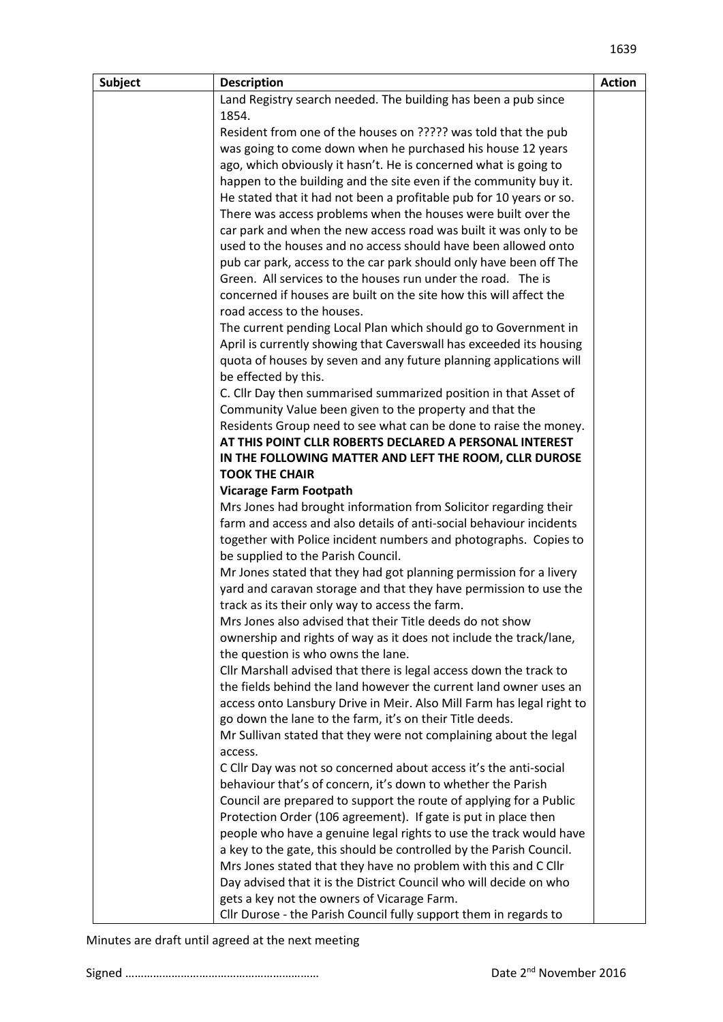| Subject | <b>Description</b>                                                           | <b>Action</b> |
|---------|------------------------------------------------------------------------------|---------------|
|         | Land Registry search needed. The building has been a pub since               |               |
|         | 1854.                                                                        |               |
|         | Resident from one of the houses on ????? was told that the pub               |               |
|         | was going to come down when he purchased his house 12 years                  |               |
|         | ago, which obviously it hasn't. He is concerned what is going to             |               |
|         | happen to the building and the site even if the community buy it.            |               |
|         | He stated that it had not been a profitable pub for 10 years or so.          |               |
|         | There was access problems when the houses were built over the                |               |
|         | car park and when the new access road was built it was only to be            |               |
|         | used to the houses and no access should have been allowed onto               |               |
|         | pub car park, access to the car park should only have been off The           |               |
|         | Green. All services to the houses run under the road. The is                 |               |
|         | concerned if houses are built on the site how this will affect the           |               |
|         | road access to the houses.                                                   |               |
|         | The current pending Local Plan which should go to Government in              |               |
|         | April is currently showing that Caverswall has exceeded its housing          |               |
|         | quota of houses by seven and any future planning applications will           |               |
|         | be effected by this.                                                         |               |
|         | C. Cllr Day then summarised summarized position in that Asset of             |               |
|         | Community Value been given to the property and that the                      |               |
|         | Residents Group need to see what can be done to raise the money.             |               |
|         | AT THIS POINT CLLR ROBERTS DECLARED A PERSONAL INTEREST                      |               |
|         | IN THE FOLLOWING MATTER AND LEFT THE ROOM, CLLR DUROSE                       |               |
|         | <b>TOOK THE CHAIR</b>                                                        |               |
|         | <b>Vicarage Farm Footpath</b>                                                |               |
|         | Mrs Jones had brought information from Solicitor regarding their             |               |
|         | farm and access and also details of anti-social behaviour incidents          |               |
|         | together with Police incident numbers and photographs. Copies to             |               |
|         | be supplied to the Parish Council.                                           |               |
|         | Mr Jones stated that they had got planning permission for a livery           |               |
|         | yard and caravan storage and that they have permission to use the            |               |
|         | track as its their only way to access the farm.                              |               |
|         | Mrs Jones also advised that their Title deeds do not show                    |               |
|         | ownership and rights of way as it does not include the track/lane,           |               |
|         | the question is who owns the lane.                                           |               |
|         | Cllr Marshall advised that there is legal access down the track to           |               |
|         | the fields behind the land however the current land owner uses an            |               |
|         | access onto Lansbury Drive in Meir. Also Mill Farm has legal right to        |               |
|         | go down the lane to the farm, it's on their Title deeds.                     |               |
|         | Mr Sullivan stated that they were not complaining about the legal<br>access. |               |
|         | C Cllr Day was not so concerned about access it's the anti-social            |               |
|         | behaviour that's of concern, it's down to whether the Parish                 |               |
|         | Council are prepared to support the route of applying for a Public           |               |
|         | Protection Order (106 agreement). If gate is put in place then               |               |
|         | people who have a genuine legal rights to use the track would have           |               |
|         | a key to the gate, this should be controlled by the Parish Council.          |               |
|         | Mrs Jones stated that they have no problem with this and C Cllr              |               |
|         | Day advised that it is the District Council who will decide on who           |               |
|         |                                                                              |               |

gets a key not the owners of Vicarage Farm.

Cllr Durose - the Parish Council fully support them in regards to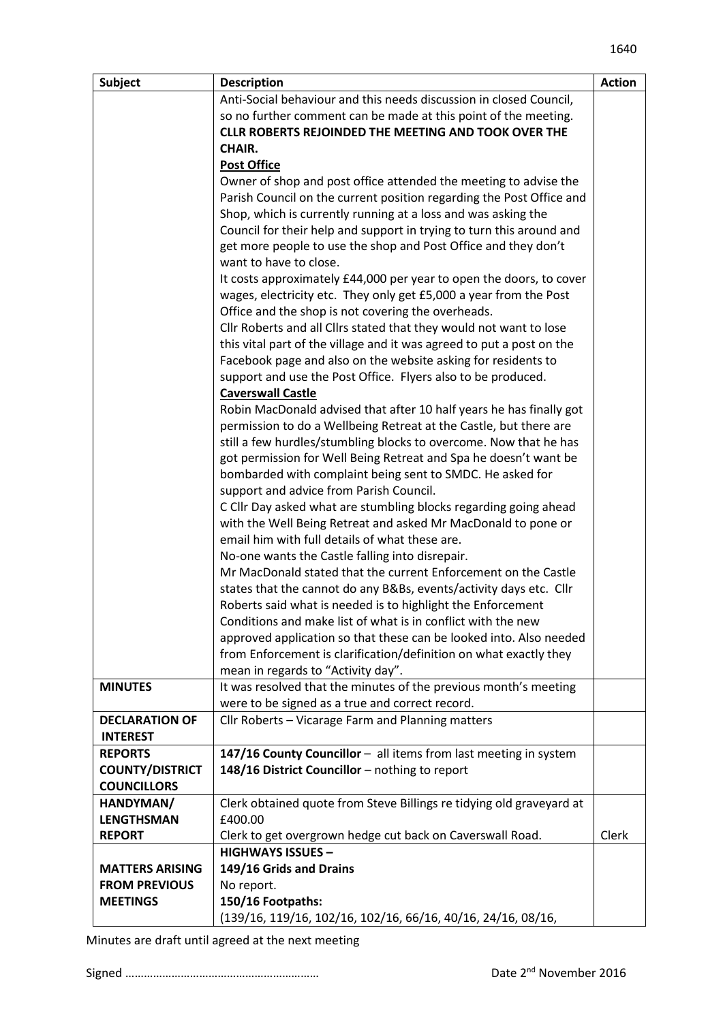| Subject                | <b>Description</b>                                                                                      | <b>Action</b> |
|------------------------|---------------------------------------------------------------------------------------------------------|---------------|
|                        | Anti-Social behaviour and this needs discussion in closed Council,                                      |               |
|                        | so no further comment can be made at this point of the meeting.                                         |               |
|                        | <b>CLLR ROBERTS REJOINDED THE MEETING AND TOOK OVER THE</b>                                             |               |
|                        | CHAIR.                                                                                                  |               |
|                        | <b>Post Office</b>                                                                                      |               |
|                        | Owner of shop and post office attended the meeting to advise the                                        |               |
|                        | Parish Council on the current position regarding the Post Office and                                    |               |
|                        | Shop, which is currently running at a loss and was asking the                                           |               |
|                        | Council for their help and support in trying to turn this around and                                    |               |
|                        | get more people to use the shop and Post Office and they don't                                          |               |
|                        | want to have to close.                                                                                  |               |
|                        | It costs approximately £44,000 per year to open the doors, to cover                                     |               |
|                        | wages, electricity etc. They only get £5,000 a year from the Post                                       |               |
|                        | Office and the shop is not covering the overheads.                                                      |               |
|                        | Cllr Roberts and all Cllrs stated that they would not want to lose                                      |               |
|                        | this vital part of the village and it was agreed to put a post on the                                   |               |
|                        | Facebook page and also on the website asking for residents to                                           |               |
|                        | support and use the Post Office. Flyers also to be produced.                                            |               |
|                        | <b>Caverswall Castle</b>                                                                                |               |
|                        | Robin MacDonald advised that after 10 half years he has finally got                                     |               |
|                        | permission to do a Wellbeing Retreat at the Castle, but there are                                       |               |
|                        | still a few hurdles/stumbling blocks to overcome. Now that he has                                       |               |
|                        | got permission for Well Being Retreat and Spa he doesn't want be                                        |               |
|                        | bombarded with complaint being sent to SMDC. He asked for                                               |               |
|                        | support and advice from Parish Council.                                                                 |               |
|                        | C Cllr Day asked what are stumbling blocks regarding going ahead                                        |               |
|                        | with the Well Being Retreat and asked Mr MacDonald to pone or                                           |               |
|                        | email him with full details of what these are.                                                          |               |
|                        | No-one wants the Castle falling into disrepair.                                                         |               |
|                        | Mr MacDonald stated that the current Enforcement on the Castle                                          |               |
|                        | states that the cannot do any B&Bs, events/activity days etc. Cllr                                      |               |
|                        | Roberts said what is needed is to highlight the Enforcement                                             |               |
|                        | Conditions and make list of what is in conflict with the new                                            |               |
|                        | approved application so that these can be looked into. Also needed                                      |               |
|                        | from Enforcement is clarification/definition on what exactly they<br>mean in regards to "Activity day". |               |
| <b>MINUTES</b>         | It was resolved that the minutes of the previous month's meeting                                        |               |
|                        | were to be signed as a true and correct record.                                                         |               |
| <b>DECLARATION OF</b>  | Cllr Roberts - Vicarage Farm and Planning matters                                                       |               |
| <b>INTEREST</b>        |                                                                                                         |               |
| <b>REPORTS</b>         | 147/16 County Councillor - all items from last meeting in system                                        |               |
| <b>COUNTY/DISTRICT</b> | 148/16 District Councillor - nothing to report                                                          |               |
| <b>COUNCILLORS</b>     |                                                                                                         |               |
| HANDYMAN/              | Clerk obtained quote from Steve Billings re tidying old graveyard at                                    |               |
| <b>LENGTHSMAN</b>      | £400.00                                                                                                 |               |
| <b>REPORT</b>          | Clerk to get overgrown hedge cut back on Caverswall Road.                                               | Clerk         |
|                        | <b>HIGHWAYS ISSUES -</b>                                                                                |               |
| <b>MATTERS ARISING</b> | 149/16 Grids and Drains                                                                                 |               |
| <b>FROM PREVIOUS</b>   | No report.                                                                                              |               |
| <b>MEETINGS</b>        | 150/16 Footpaths:                                                                                       |               |
|                        | (139/16, 119/16, 102/16, 102/16, 66/16, 40/16, 24/16, 08/16,                                            |               |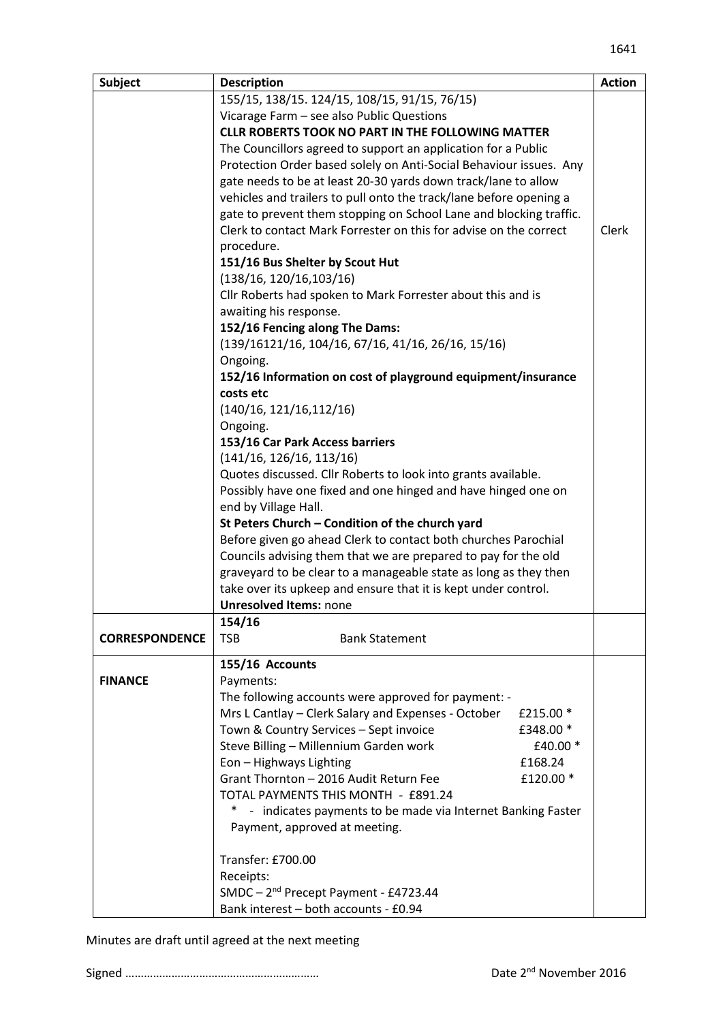| <b>Subject</b>        | <b>Description</b>                                                             | <b>Action</b> |
|-----------------------|--------------------------------------------------------------------------------|---------------|
|                       | 155/15, 138/15. 124/15, 108/15, 91/15, 76/15)                                  |               |
|                       | Vicarage Farm - see also Public Questions                                      |               |
|                       | <b>CLLR ROBERTS TOOK NO PART IN THE FOLLOWING MATTER</b>                       |               |
|                       | The Councillors agreed to support an application for a Public                  |               |
|                       | Protection Order based solely on Anti-Social Behaviour issues. Any             |               |
|                       | gate needs to be at least 20-30 yards down track/lane to allow                 |               |
|                       | vehicles and trailers to pull onto the track/lane before opening a             |               |
|                       | gate to prevent them stopping on School Lane and blocking traffic.             |               |
|                       | Clerk to contact Mark Forrester on this for advise on the correct              | Clerk         |
|                       | procedure.                                                                     |               |
|                       | 151/16 Bus Shelter by Scout Hut                                                |               |
|                       | (138/16, 120/16, 103/16)                                                       |               |
|                       | Cllr Roberts had spoken to Mark Forrester about this and is                    |               |
|                       | awaiting his response.                                                         |               |
|                       | 152/16 Fencing along The Dams:                                                 |               |
|                       | $(139/16121/16, 104/16, 67/16, 41/16, 26/16, 15/16)$                           |               |
|                       | Ongoing.                                                                       |               |
|                       | 152/16 Information on cost of playground equipment/insurance                   |               |
|                       | costs etc                                                                      |               |
|                       | (140/16, 121/16, 112/16)                                                       |               |
|                       | Ongoing.                                                                       |               |
|                       | 153/16 Car Park Access barriers                                                |               |
|                       | (141/16, 126/16, 113/16)                                                       |               |
|                       | Quotes discussed. Cllr Roberts to look into grants available.                  |               |
|                       | Possibly have one fixed and one hinged and have hinged one on                  |               |
|                       | end by Village Hall.<br>St Peters Church - Condition of the church yard        |               |
|                       | Before given go ahead Clerk to contact both churches Parochial                 |               |
|                       | Councils advising them that we are prepared to pay for the old                 |               |
|                       | graveyard to be clear to a manageable state as long as they then               |               |
|                       | take over its upkeep and ensure that it is kept under control.                 |               |
|                       | <b>Unresolved Items: none</b>                                                  |               |
|                       | 154/16                                                                         |               |
| <b>CORRESPONDENCE</b> | <b>TSB</b><br><b>Bank Statement</b>                                            |               |
|                       |                                                                                |               |
|                       | 155/16 Accounts                                                                |               |
| <b>FINANCE</b>        | Payments:                                                                      |               |
|                       | The following accounts were approved for payment: -                            |               |
|                       | Mrs L Cantlay - Clerk Salary and Expenses - October<br>£215.00 $*$             |               |
|                       | Town & Country Services - Sept invoice<br>£348.00 *                            |               |
|                       | Steve Billing - Millennium Garden work<br>£40.00 *<br>£168.24                  |               |
|                       | Eon - Highways Lighting<br>Grant Thornton - 2016 Audit Return Fee<br>£120.00 * |               |
|                       | TOTAL PAYMENTS THIS MONTH - £891.24                                            |               |
|                       | - indicates payments to be made via Internet Banking Faster                    |               |
|                       | Payment, approved at meeting.                                                  |               |
|                       |                                                                                |               |
|                       | Transfer: £700.00                                                              |               |
|                       | Receipts:                                                                      |               |
|                       | SMDC - 2 <sup>nd</sup> Precept Payment - £4723.44                              |               |
|                       | Bank interest - both accounts - £0.94                                          |               |